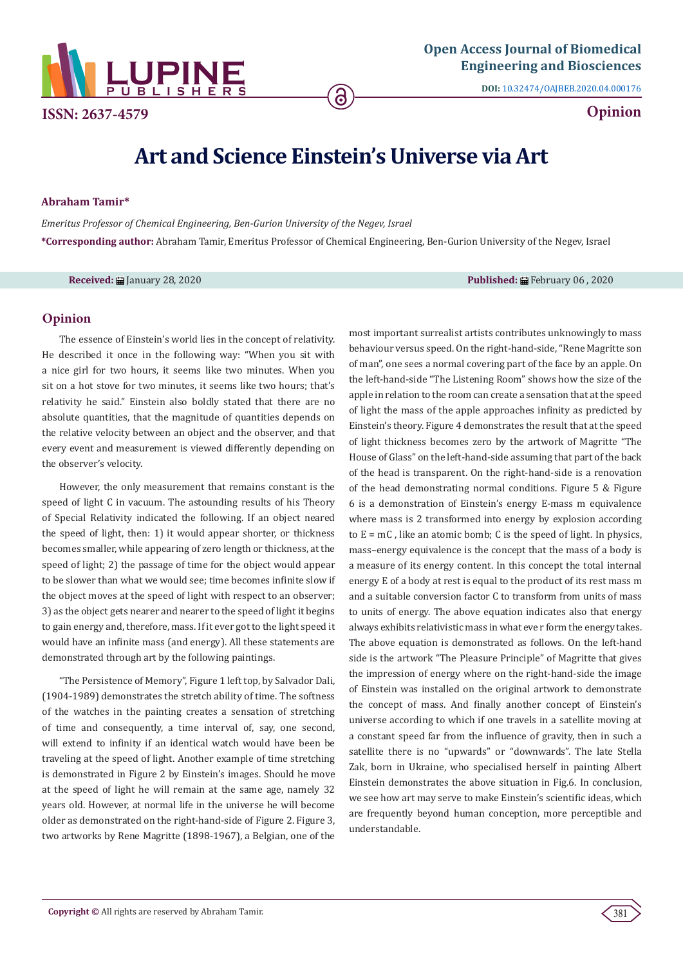

**ISSN: 2637-4579 Opinion**

**DOI:** [10.32474/OAJBEB.2020.04.000176](http://dx.doi.org/10.32474/OAJBEB.2020.04.000176)

## **Art and Science Einstein's Universe via Art**

**Abraham Tamir\***

*Emeritus Professor of Chemical Engineering, Ben-Gurion University of the Negev, Israel* **\*Corresponding author:** Abraham Tamir, Emeritus Professor of Chemical Engineering, Ben-Gurion University of the Negev, Israel

**Received:** January 28, 2020 **Published:** February 06 , 2020

## **Opinion**

The essence of Einstein's world lies in the concept of relativity. He described it once in the following way: "When you sit with a nice girl for two hours, it seems like two minutes. When you sit on a hot stove for two minutes, it seems like two hours; that's relativity he said." Einstein also boldly stated that there are no absolute quantities, that the magnitude of quantities depends on the relative velocity between an object and the observer, and that every event and measurement is viewed differently depending on the observer's velocity.

However, the only measurement that remains constant is the speed of light C in vacuum. The astounding results of his Theory of Special Relativity indicated the following. If an object neared the speed of light, then: 1) it would appear shorter, or thickness becomes smaller, while appearing of zero length or thickness, at the speed of light; 2) the passage of time for the object would appear to be slower than what we would see; time becomes infinite slow if the object moves at the speed of light with respect to an observer; 3) as the object gets nearer and nearer to the speed of light it begins to gain energy and, therefore, mass. If it ever got to the light speed it would have an infinite mass (and energy). All these statements are demonstrated through art by the following paintings.

"The Persistence of Memory", Figure 1 left top, by Salvador Dali, (1904-1989) demonstrates the stretch ability of time. The softness of the watches in the painting creates a sensation of stretching of time and consequently, a time interval of, say, one second, will extend to infinity if an identical watch would have been be traveling at the speed of light. Another example of time stretching is demonstrated in Figure 2 by Einstein's images. Should he move at the speed of light he will remain at the same age, namely 32 years old. However, at normal life in the universe he will become older as demonstrated on the right-hand-side of Figure 2. Figure 3, two artworks by Rene Magritte (1898-1967), a Belgian, one of the most important surrealist artists contributes unknowingly to mass behaviour versus speed. On the right-hand-side, "Rene Magritte son of man", one sees a normal covering part of the face by an apple. On the left-hand-side "The Listening Room" shows how the size of the apple in relation to the room can create a sensation that at the speed of light the mass of the apple approaches infinity as predicted by Einstein's theory. Figure 4 demonstrates the result that at the speed of light thickness becomes zero by the artwork of Magritte "The House of Glass" on the left-hand-side assuming that part of the back of the head is transparent. On the right-hand-side is a renovation of the head demonstrating normal conditions. Figure 5 & Figure 6 is a demonstration of Einstein's energy E-mass m equivalence where mass is 2 transformed into energy by explosion according to  $E = mC$ , like an atomic bomb; C is the speed of light. In physics, mass–energy equivalence is the concept that the mass of a body is a measure of its energy content. In this concept the total internal energy E of a body at rest is equal to the product of its rest mass m and a suitable conversion factor C to transform from units of mass to units of energy. The above equation indicates also that energy always exhibits relativistic mass in what eve r form the energy takes. The above equation is demonstrated as follows. On the left-hand side is the artwork "The Pleasure Principle" of Magritte that gives the impression of energy where on the right-hand-side the image of Einstein was installed on the original artwork to demonstrate the concept of mass. And finally another concept of Einstein's universe according to which if one travels in a satellite moving at a constant speed far from the influence of gravity, then in such a satellite there is no "upwards" or "downwards". The late Stella Zak, born in Ukraine, who specialised herself in painting Albert Einstein demonstrates the above situation in Fig.6. In conclusion, we see how art may serve to make Einstein's scientific ideas, which are frequently beyond human conception, more perceptible and understandable.